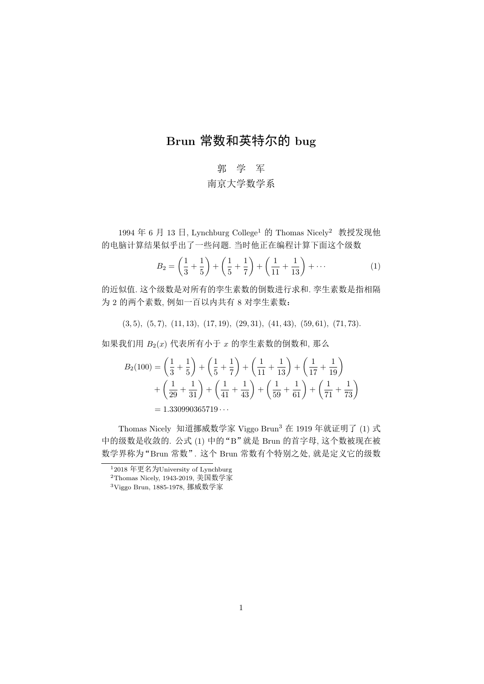## Brun 常数和英特尔的 bug

## 郭 学 军 南京大学数学系

1994年6月13日, Lynchburg College<sup>1</sup> 的 Thomas Nicely<sup>2</sup> 教授发现他 的电脑计算结果似乎出了一些问题. 当时他正在编程计算下面这个级数

$$
B_2 = \left(\frac{1}{3} + \frac{1}{5}\right) + \left(\frac{1}{5} + \frac{1}{7}\right) + \left(\frac{1}{11} + \frac{1}{13}\right) + \cdots
$$
 (1)

的近似值, 这个级数是对所有的孪生素数的倒数进行求和, 孪生素数是指相隔 为 2 的两个素数, 例如一百以内共有 8 对孪生素数:

 $(3,5), (5,7), (11,13), (17,19), (29,31), (41,43), (59,61), (71,73).$ 

如果我们用  $B_2(x)$  代表所有小于  $x$  的孪生素数的倒数和, 那么

$$
B_2(100) = \left(\frac{1}{3} + \frac{1}{5}\right) + \left(\frac{1}{5} + \frac{1}{7}\right) + \left(\frac{1}{11} + \frac{1}{13}\right) + \left(\frac{1}{17} + \frac{1}{19}\right) + \left(\frac{1}{29} + \frac{1}{31}\right) + \left(\frac{1}{41} + \frac{1}{43}\right) + \left(\frac{1}{59} + \frac{1}{61}\right) + \left(\frac{1}{71} + \frac{1}{73}\right) = 1.330990365719...
$$

Thomas Nicely 知道挪威数学家 Viggo Brun<sup>3</sup> 在 1919 年就证明了 (1) 式 中的级数是收敛的. 公式 (1) 中的"B"就是 Brun 的首字母, 这个数被现在被 数学界称为"Brun 常数". 这个 Brun 常数有个特别之处, 就是定义它的级数

 $1_{2018}$ 年更名为University of Lynchburg

<sup>&</sup>lt;sup>2</sup>Thomas Nicely, 1943-2019, 美国数学家

<sup>&</sup>lt;sup>3</sup>Viggo Brun, 1885-1978, 挪威数学家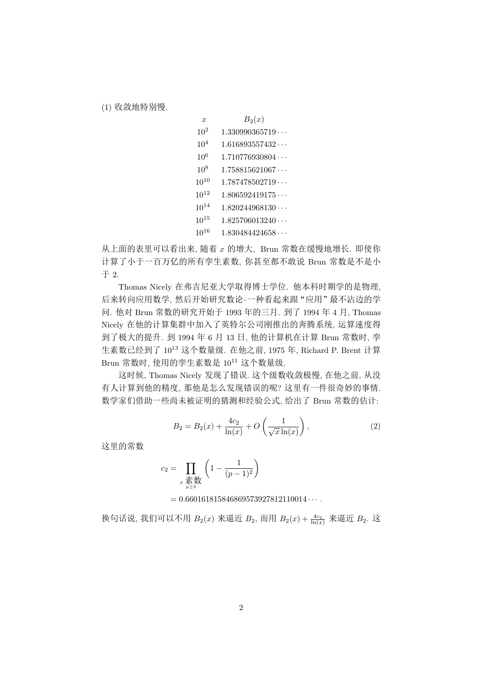(1) 收敛地特别慢.

| $\boldsymbol{x}$ | $B_2(x)$               |
|------------------|------------------------|
| $10^{2}$         | 1.330990365719         |
| $10^{4}$         | 1.616893557432         |
| 10 <sup>6</sup>  | 1.710776930804         |
| $10^{8}$         | $1.758815621067\cdots$ |
| $10^{10}$        | 1.787478502719         |
| $10^{12}$        | 1.806592419175         |
| $10^{14}$        | 1.820244968130         |
| $10^{15}$        | $1.825706013240\cdots$ |
| $10^{16}$        | 1.830484424658         |

从上面的表里可以看出来, 随着 x 的增大, Brun 常数在缓慢地增长. 即使你 计算了小于一百万亿的所有孪生素数, 你甚至都不敢说 Brun 常数是不是小  $\pm 2$ .

Thomas Nicely 在弗吉尼亚大学取得博士学位. 他本科时期学的是物理. 后来转向应用数学,然后开始研究数论-一种看起来跟"应用"最不沾边的学 问. 他对 Brun 常数的研究开始于 1993 年的三月. 到了 1994 年 4 月, Thomas Nicely 在他的计算集群中加入了英特尔公司刚推出的奔腾系统, 运算速度得 到了极大的提升. 到 1994年 6月 13日, 他的计算机在计算 Brun 常数时, 孪 生素数已经到了 10<sup>13</sup> 这个数量级. 在他之前, 1975 年, Richard P. Brent 计算 Brun 常数时, 使用的孪生素数是 10<sup>11</sup> 这个数量级.

这时候, Thomas Nicely 发现了错误. 这个级数收敛极慢, 在他之前, 从没 有人计算到他的精度, 那他是怎么发现错误的呢? 这里有一件很奇妙的事情. 数学家们借助一些尚未被证明的猜测和经验公式,给出了 Brun 常数的估计:

$$
B_2 = B_2(x) + \frac{4c_2}{\ln(x)} + O\left(\frac{1}{\sqrt{x}\ln(x)}\right),
$$
 (2)

这里的常数

$$
c_2 = \prod_{\substack{p \ \overline{\text{m}} \text{ odd} \\ p \ge 3}} \left( 1 - \frac{1}{(p-1)^2} \right)
$$

 $= 0.660161815846869573927812110014 \cdots$ 

换句话说, 我们可以不用  $B_2(x)$  来逼近  $B_2$ , 而用  $B_2(x) + \frac{4c_2}{\ln(x)}$  来逼近  $B_2$ . 这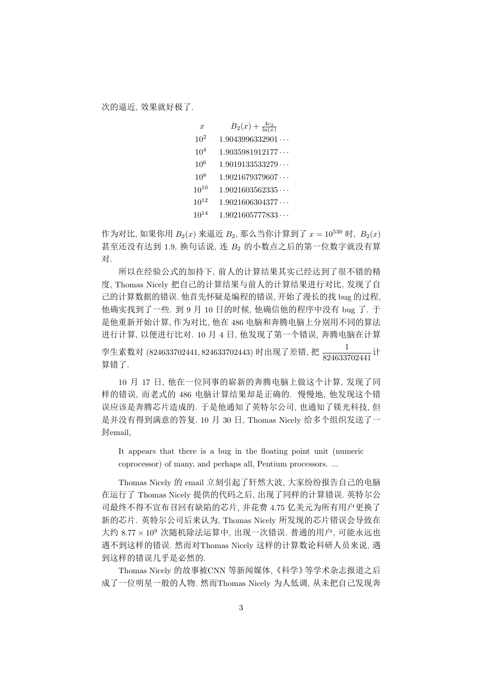| $\boldsymbol{x}$ | $B_2(x) + \frac{4c_2}{\ln(x)}$ |
|------------------|--------------------------------|
| 10 <sup>2</sup>  | 1.9043996332901                |
| 10 <sup>4</sup>  | 1.9035981912177                |
| 10 <sup>6</sup>  | 1.9019133533279                |
| $10^{8}$         | 1.9021679379607                |
| $10^{10}$        | 1.9021603562335                |
| $10^{12}$        | 1.9021606304377                |
| $10^{14}$        | 1.9021605777833                |

作为对比, 如果你用  $B_2(x)$  来逼近  $B_2$ , 那么当你计算到了  $x = 10^{530}$  时,  $B_2(x)$ 甚至还没有达到 1.9, 换句话说, 连 B2 的小数点之后的第一位数字就没有算 对.

所以在经验公式的加持下, 前人的计算结果其实已经达到了很不错的精 度, Thomas Nicely 把自己的计算结果与前人的计算结果进行对比, 发现了自 己的计算数据的错误. 他首先怀疑是编程的错误, 开始了漫长的找 bug 的过程, 他确实找到了一些. 到 9 月 10 日的时候, 他确信他的程序中没有 bug 了. 于 是他重新开始计算,作为对比,他在486电脑和奔腾电脑上分别用不同的算法 进行计算, 以便进行比对. 10 月 4 日, 他发现了第一个错误, 奔腾电脑在计算 孪生素数对 (824633702441, 824633702443) 时出现了差错, 把  $\frac{1}{824633702441}$ 计 算错了.

10 月 17 日, 他在一位同事的崭新的奔腾电脑上做这个计算, 发现了同 样的错误, 而老式的 486 电脑计算结果却是正确的. 慢慢地, 他发现这个错 误应该是奔腾芯片造成的. 于是他通知了英特尔公司, 也通知了镁光科技, 但 是并没有得到满意的答复. 10 月 30 日, Thomas Nicely 给多个组织发送了一 封<sub>email</sub>.

It appears that there is a bug in the floating point unit (numeric coprocessor) of many, and perhaps all, Pentium processors...

Thomas Nicely 的 email 立刻引起了轩然大波, 大家纷纷报告自己的电脑 在运行了 Thomas Nicelv 提供的代码之后, 出现了同样的计算错误, 英特尔公 司最终不得不宣布召回有缺陷的芯片,并花费 4.75 亿美元为所有用户更换了 新的芯片. 英特尔公司后来认为, Thomas Nicely 所发现的芯片错误会导致在 大约 8.77 × 10<sup>9</sup> 次随机除法运算中, 出现一次错误. 普通的用户, 可能永远也 遇不到这样的错误. 然而对Thomas Nicely 这样的计算数论科研人员来说, 遇 到这样的错误几乎是必然的.

Thomas Nicely 的故事被CNN 等新闻媒体、《科学》等学术杂志报道之后 成了一位明星一般的人物, 然而Thomas Nicely 为人低调, 从未把自己发现奔